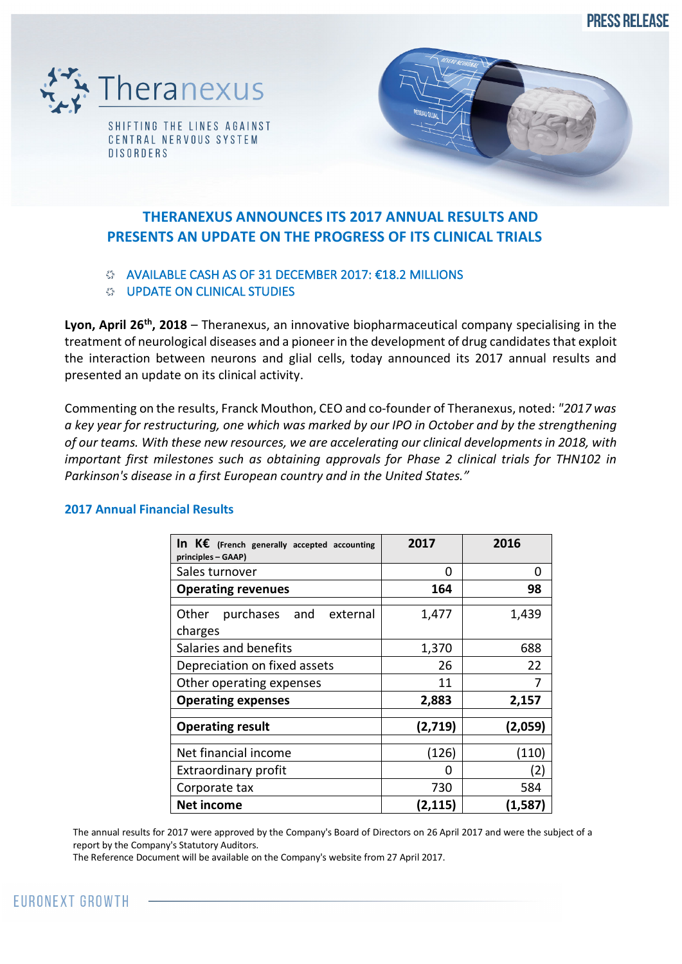**PRESS RELEASE** 



**DISORDERS** 



# **THERANEXUS ANNOUNCES ITS 2017 ANNUAL RESULTS AND PRESENTS AN UPDATE ON THE PROGRESS OF ITS CLINICAL TRIALS**

# AVAILABLE CASH AS OF 31 DECEMBER 2017: €18.2 MILLIONS

## **UPDATE ON CLINICAL STUDIES**

Lyon, April 26<sup>th</sup>, 2018 – Theranexus, an innovative biopharmaceutical company specialising in the treatment of neurological diseases and a pioneer in the development of drug candidates that exploit the interaction between neurons and glial cells, today announced its 2017 annual results and presented an update on its clinical activity.

Commenting on the results, Franck Mouthon, CEO and co-founder of Theranexus, noted: *"2017 was a key year for restructuring, one which was marked by our IPO in October and by the strengthening of our teams. With these new resources, we are accelerating our clinical developments in 2018, with important first milestones such as obtaining approvals for Phase 2 clinical trials for THN102 in Parkinson's disease in a first European country and in the United States."*

| In $K\epsilon$ (French generally accepted accounting<br>principles - GAAP) | 2017    | 2016     |
|----------------------------------------------------------------------------|---------|----------|
| Sales turnover                                                             | O       | O        |
| <b>Operating revenues</b>                                                  | 164     | 98       |
| Other purchases and external<br>charges                                    | 1,477   | 1,439    |
| Salaries and benefits                                                      | 1,370   | 688      |
| Depreciation on fixed assets                                               | 26      | 22       |
| Other operating expenses                                                   | 11      | 7        |
| <b>Operating expenses</b>                                                  | 2,883   | 2,157    |
| <b>Operating result</b>                                                    | (2,719) | (2,059)  |
| Net financial income                                                       | (126)   | (110)    |
| <b>Extraordinary profit</b>                                                | O       | (2)      |
| Corporate tax                                                              | 730     | 584      |
| <b>Net income</b>                                                          | (2,115) | (1, 587) |

# **2017 Annual Financial Results**

The annual results for 2017 were approved by the Company's Board of Directors on 26 April 2017 and were the subject of a report by the Company's Statutory Auditors.

The Reference Document will be available on the Company's website from 27 April 2017.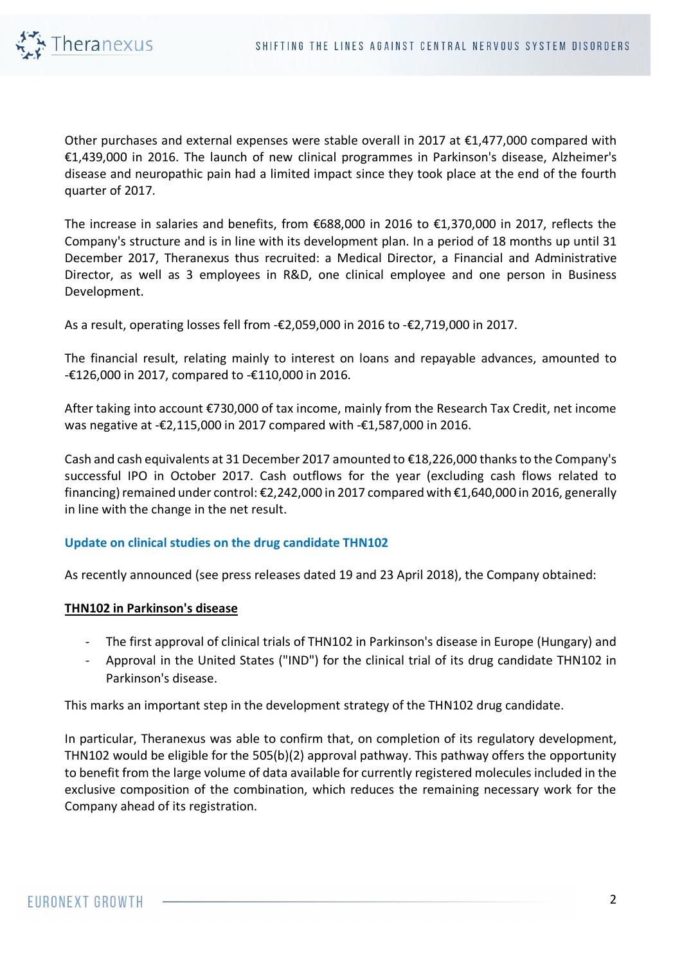

Other purchases and external expenses were stable overall in 2017 at €1,477,000 compared with €1,439,000 in 2016. The launch of new clinical programmes in Parkinson's disease, Alzheimer's disease and neuropathic pain had a limited impact since they took place at the end of the fourth quarter of 2017.

The increase in salaries and benefits, from €688,000 in 2016 to €1,370,000 in 2017, reflects the Company's structure and is in line with its development plan. In a period of 18 months up until 31 December 2017, Theranexus thus recruited: a Medical Director, a Financial and Administrative Director, as well as 3 employees in R&D, one clinical employee and one person in Business Development.

As a result, operating losses fell from -€2,059,000 in 2016 to -€2,719,000 in 2017.

The financial result, relating mainly to interest on loans and repayable advances, amounted to -€126,000 in 2017, compared to -€110,000 in 2016.

After taking into account €730,000 of tax income, mainly from the Research Tax Credit, net income was negative at -€2,115,000 in 2017 compared with -€1,587,000 in 2016.

Cash and cash equivalents at 31 December 2017 amounted to €18,226,000 thanks to the Company's successful IPO in October 2017. Cash outflows for the year (excluding cash flows related to financing) remained under control: €2,242,000 in 2017 compared with €1,640,000 in 2016, generally in line with the change in the net result.

## **Update on clinical studies on the drug candidate THN102**

As recently announced (see press releases dated 19 and 23 April 2018), the Company obtained:

#### **THN102 in Parkinson's disease**

- The first approval of clinical trials of THN102 in Parkinson's disease in Europe (Hungary) and
- Approval in the United States ("IND") for the clinical trial of its drug candidate THN102 in Parkinson's disease.

This marks an important step in the development strategy of the THN102 drug candidate.

In particular, Theranexus was able to confirm that, on completion of its regulatory development, THN102 would be eligible for the 505(b)(2) approval pathway. This pathway offers the opportunity to benefit from the large volume of data available for currently registered molecules included in the exclusive composition of the combination, which reduces the remaining necessary work for the Company ahead of its registration.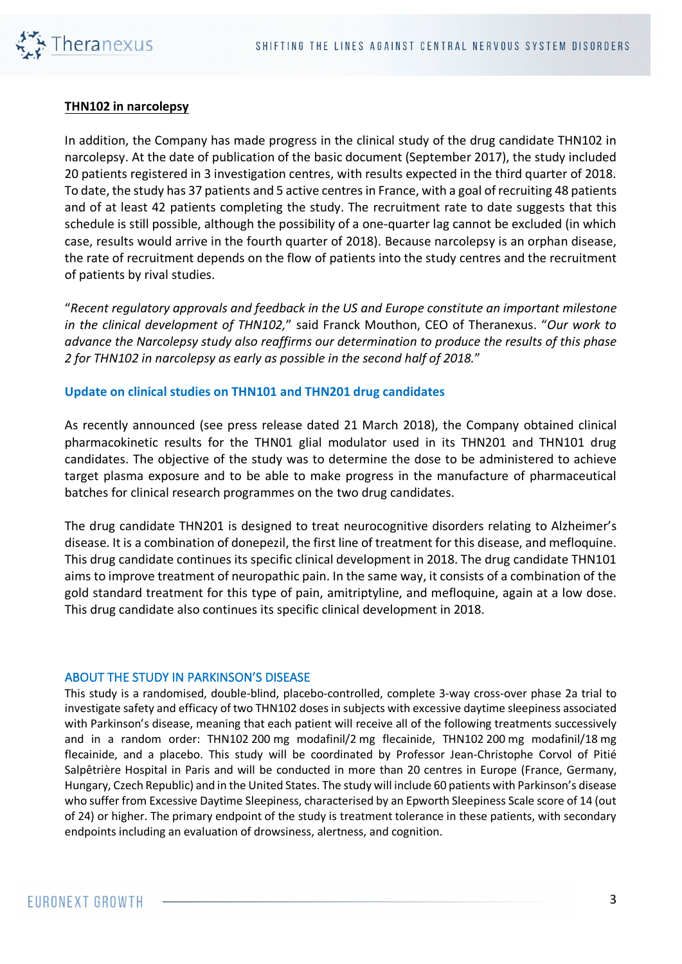

#### **THN102 in narcolepsy**

In addition, the Company has made progress in the clinical study of the drug candidate THN102 in narcolepsy. At the date of publication of the basic document (September 2017), the study included 20 patients registered in 3 investigation centres, with results expected in the third quarter of 2018. To date, the study has 37 patients and 5 active centres in France, with a goal of recruiting 48 patients and of at least 42 patients completing the study. The recruitment rate to date suggests that this schedule is still possible, although the possibility of a one-quarter lag cannot be excluded (in which case, results would arrive in the fourth quarter of 2018). Because narcolepsy is an orphan disease, the rate of recruitment depends on the flow of patients into the study centres and the recruitment of patients by rival studies.

"*Recent regulatory approvals and feedback in the US and Europe constitute an important milestone in the clinical development of THN102,*" said Franck Mouthon, CEO of Theranexus. "*Our work to advance the Narcolepsy study also reaffirms our determination to produce the results of this phase 2 for THN102 in narcolepsy as early as possible in the second half of 2018.*"

#### **Update on clinical studies on THN101 and THN201 drug candidates**

As recently announced (see press release dated 21 March 2018), the Company obtained clinical pharmacokinetic results for the THN01 glial modulator used in its THN201 and THN101 drug candidates. The objective of the study was to determine the dose to be administered to achieve target plasma exposure and to be able to make progress in the manufacture of pharmaceutical batches for clinical research programmes on the two drug candidates.

The drug candidate THN201 is designed to treat neurocognitive disorders relating to Alzheimer's disease. It is a combination of donepezil, the first line of treatment for this disease, and mefloquine. This drug candidate continues its specific clinical development in 2018. The drug candidate THN101 aims to improve treatment of neuropathic pain. In the same way, it consists of a combination of the gold standard treatment for this type of pain, amitriptyline, and mefloquine, again at a low dose. This drug candidate also continues its specific clinical development in 2018.

#### ABOUT THE STUDY IN PARKINSON'S DISEASE

This study is a randomised, double-blind, placebo-controlled, complete 3-way cross-over phase 2a trial to investigate safety and efficacy of two THN102 doses in subjects with excessive daytime sleepiness associated with Parkinson's disease, meaning that each patient will receive all of the following treatments successively and in a random order: THN102 200 mg modafinil/2 mg flecainide, THN102 200 mg modafinil/18 mg flecainide, and a placebo. This study will be coordinated by Professor Jean-Christophe Corvol of Pitié Salpêtrière Hospital in Paris and will be conducted in more than 20 centres in Europe (France, Germany, Hungary, Czech Republic) and in the United States. The study will include 60 patients with Parkinson's disease who suffer from Excessive Daytime Sleepiness, characterised by an Epworth Sleepiness Scale score of 14 (out of 24) or higher. The primary endpoint of the study is treatment tolerance in these patients, with secondary endpoints including an evaluation of drowsiness, alertness, and cognition.